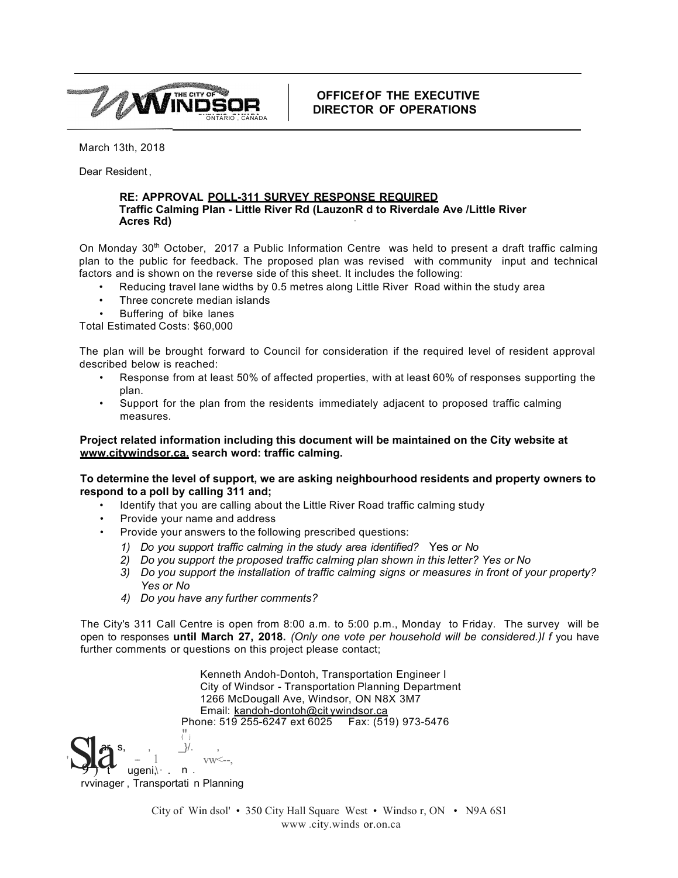

**OFFICEf OF THE EXECUTIVE DIRECTOR OF OPERATIONS**

March 13th, 2018

Dear Resident ,

## **RE: APPROVAL POLL-311 SURVEY RESPONSE REQUIRED Traffic Calming Plan - Little River Rd (LauzonR d to Riverdale Ave /Little River Acres Rd)** ·

On Monday  $30<sup>th</sup>$  October, 2017 a Public Information Centre was held to present a draft traffic calming plan to the public for feedback. The proposed plan was revised with community input and technical factors and is shown on the reverse side of this sheet. It includes the following:

- Reducing travel lane widths by 0.5 metres along Little River Road within the study area
- Three concrete median islands
- Buffering of bike lanes

Total Estimated Costs: \$60,000

The plan will be brought forward to Council for consideration if the required level of resident approval described below is reached:

- Response from at least 50% of affected properties, with at least 60% of responses supporting the plan.
- Support for the plan from the residents immediately adjacent to proposed traffic calming measures.

## **Project related information including this document will be maintained on the City website at [www.citywindsor.ca.](http://www.citywindsor.ca/) search word: traffic calming.**

**To determine the level of support, we are asking neighbourhood residents and property owners to respond to a poll by calling 311 and;**

- Identify that you are calling about the Little River Road traffic calming study
- Provide your name and address
- Provide your answers to the following prescribed questions:
	- *1) Do you support traffic calming in the study area identified?* Yes *or No*
	- *2) Do you support the proposed traffic calming plan shown in this letter? Yes or No*
	- *3) Do you support the installation of traffic calming signs or measures in front of your property? Yes or No*
	- *4) Do you have any further comments?*

The City's 311 Call Centre is open from 8:00 a.m. to 5:00 p.m., Monday to Friday. The survey will be open to responses **until March 27, 2018.** *(Only one vote per household will be considered.)l f* you have further comments or questions on this project please contact;

ars, ,  $\frac{1}{2}$ , ,  $n$ . vw<--, Kenneth Andoh-Dontoh, Transportation Engineer I City of Windsor - Transportation Planning Department 1266 McDougall Ave, Windsor, ON N8X 3M7 Email: [kandoh-dontoh@cit](mailto:kandoh-dontoh@citywindsor.ca) ywindsor.ca Phone: 519 255-6247 ext 6025 Fax: (519) 973-5476 ("j  $\mathbf{d}$  -  $\mathbf{d}$ ugeni $\cdot$ .

 $9 + 4$ Sla rvvinager , Transportati n Planning

City of Win dsol' • 350 City Hall Square West • Windso r, ON • N9A 6S1 www .city.winds or.on.ca